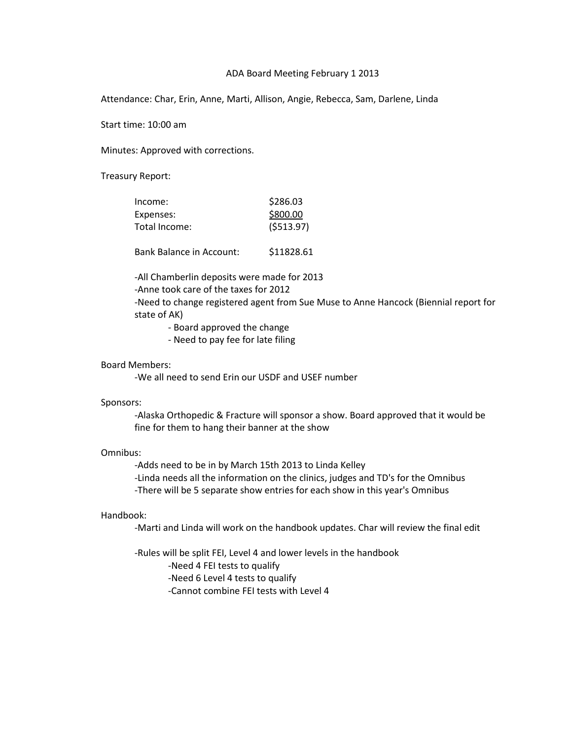# ADA Board Meeting February 1 2013

Attendance: Char, Erin, Anne, Marti, Allison, Angie, Rebecca, Sam, Darlene, Linda

Start time: 10:00 am

Minutes: Approved with corrections.

Treasury Report:

| Income:       | \$286.03  |
|---------------|-----------|
| Expenses:     | \$800.00  |
| Total Income: | (5513.97) |
|               |           |

Bank Balance in Account: \$11828.61

-All Chamberlin deposits were made for 2013

-Anne took care of the taxes for 2012

-Need to change registered agent from Sue Muse to Anne Hancock (Biennial report for state of AK)

- Board approved the change

- Need to pay fee for late filing

# Board Members:

-We all need to send Erin our USDF and USEF number

## Sponsors:

-Alaska Orthopedic & Fracture will sponsor a show. Board approved that it would be fine for them to hang their banner at the show

# Omnibus:

-Adds need to be in by March 15th 2013 to Linda Kelley -Linda needs all the information on the clinics, judges and TD's for the Omnibus -There will be 5 separate show entries for each show in this year's Omnibus

## Handbook:

-Marti and Linda will work on the handbook updates. Char will review the final edit

-Rules will be split FEI, Level 4 and lower levels in the handbook -Need 4 FEI tests to qualify -Need 6 Level 4 tests to qualify -Cannot combine FEI tests with Level 4